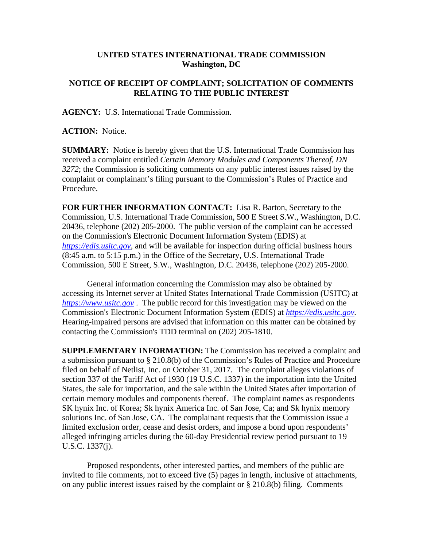## **UNITED STATES INTERNATIONAL TRADE COMMISSION Washington, DC**

## **NOTICE OF RECEIPT OF COMPLAINT; SOLICITATION OF COMMENTS RELATING TO THE PUBLIC INTEREST**

**AGENCY:** U.S. International Trade Commission.

**ACTION:** Notice.

**SUMMARY:** Notice is hereby given that the U.S. International Trade Commission has received a complaint entitled *Certain Memory Modules and Components Thereof, DN 3272*; the Commission is soliciting comments on any public interest issues raised by the complaint or complainant's filing pursuant to the Commission's Rules of Practice and Procedure.

**FOR FURTHER INFORMATION CONTACT:** Lisa R. Barton, Secretary to the Commission, U.S. International Trade Commission, 500 E Street S.W., Washington, D.C. 20436, telephone (202) 205-2000. The public version of the complaint can be accessed on the Commission's Electronic Document Information System (EDIS) at *https://edis.usitc.gov*, and will be available for inspection during official business hours (8:45 a.m. to 5:15 p.m.) in the Office of the Secretary, U.S. International Trade Commission, 500 E Street, S.W., Washington, D.C. 20436, telephone (202) 205-2000.

General information concerning the Commission may also be obtained by accessing its Internet server at United States International Trade Commission (USITC) at *https://www.usitc.gov* . The public record for this investigation may be viewed on the Commission's Electronic Document Information System (EDIS) at *https://edis.usitc.gov.* Hearing-impaired persons are advised that information on this matter can be obtained by contacting the Commission's TDD terminal on (202) 205-1810.

**SUPPLEMENTARY INFORMATION:** The Commission has received a complaint and a submission pursuant to § 210.8(b) of the Commission's Rules of Practice and Procedure filed on behalf of Netlist, Inc. on October 31, 2017. The complaint alleges violations of section 337 of the Tariff Act of 1930 (19 U.S.C. 1337) in the importation into the United States, the sale for importation, and the sale within the United States after importation of certain memory modules and components thereof. The complaint names as respondents SK hynix Inc. of Korea; Sk hynix America Inc. of San Jose, Ca; and Sk hynix memory solutions Inc. of San Jose, CA. The complainant requests that the Commission issue a limited exclusion order, cease and desist orders, and impose a bond upon respondents' alleged infringing articles during the 60-day Presidential review period pursuant to 19 U.S.C. 1337(j).

Proposed respondents, other interested parties, and members of the public are invited to file comments, not to exceed five (5) pages in length, inclusive of attachments, on any public interest issues raised by the complaint or § 210.8(b) filing. Comments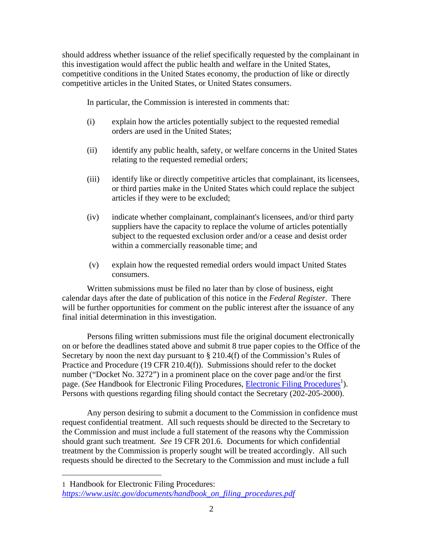should address whether issuance of the relief specifically requested by the complainant in this investigation would affect the public health and welfare in the United States, competitive conditions in the United States economy, the production of like or directly competitive articles in the United States, or United States consumers.

In particular, the Commission is interested in comments that:

- (i) explain how the articles potentially subject to the requested remedial orders are used in the United States;
- (ii) identify any public health, safety, or welfare concerns in the United States relating to the requested remedial orders;
- (iii) identify like or directly competitive articles that complainant, its licensees, or third parties make in the United States which could replace the subject articles if they were to be excluded;
- (iv) indicate whether complainant, complainant's licensees, and/or third party suppliers have the capacity to replace the volume of articles potentially subject to the requested exclusion order and/or a cease and desist order within a commercially reasonable time; and
- (v) explain how the requested remedial orders would impact United States consumers.

Written submissions must be filed no later than by close of business, eight calendar days after the date of publication of this notice in the *Federal Register*. There will be further opportunities for comment on the public interest after the issuance of any final initial determination in this investigation.

Persons filing written submissions must file the original document electronically on or before the deadlines stated above and submit 8 true paper copies to the Office of the Secretary by noon the next day pursuant to  $\S 210.4(f)$  of the Commission's Rules of Practice and Procedure (19 CFR 210.4(f)). Submissions should refer to the docket number ("Docket No. 3272") in a prominent place on the cover page and/or the first page. (*See* Handbook for Electronic Filing Procedures, *Electronic Filing Procedures*<sup>1</sup>). Persons with questions regarding filing should contact the Secretary (202-205-2000).

Any person desiring to submit a document to the Commission in confidence must request confidential treatment. All such requests should be directed to the Secretary to the Commission and must include a full statement of the reasons why the Commission should grant such treatment. *See* 19 CFR 201.6. Documents for which confidential treatment by the Commission is properly sought will be treated accordingly. All such requests should be directed to the Secretary to the Commission and must include a full

 $\overline{a}$ 

<sup>1</sup> Handbook for Electronic Filing Procedures: *https://www.usitc.gov/documents/handbook\_on\_filing\_procedures.pdf*